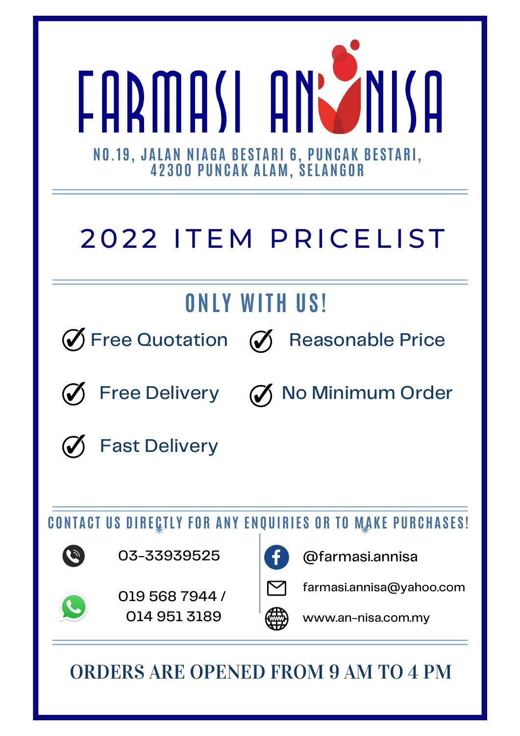

## 2022 ITEM PRICELIST

## **ONL Y WITH US !**



Free Quotation  $\mathcal O$  Reasonable Price





Free Delivery (%) No Minimum Order



Fast Delivery

**CONTAC T US DIRE C TL Y FOR ANY ENQUIRIE S OR TO MAK E PURCHAS E S !**



03-33939525



@farmasi.annisa



[farmasi.annisa@yahoo.com](mailto:farmasi.annisa@yahoo.com)



019 568 7944 / 014 951 3189



www.an-nisa.com.my

ORDERS ARE OPENED FROM 9 AM TO 4 PM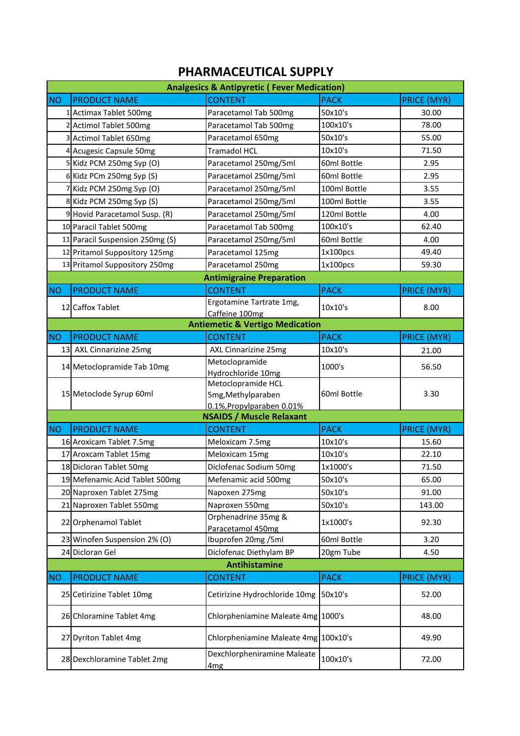## **PHARMACEUTICAL SUPPLY**

| <b>Analgesics &amp; Antipyretic (Fever Medication)</b> |                                 |                                            |              |                    |
|--------------------------------------------------------|---------------------------------|--------------------------------------------|--------------|--------------------|
| <b>NO</b>                                              | <b>PRODUCT NAME</b>             | <b>CONTENT</b>                             | <b>PACK</b>  | <b>PRICE (MYR)</b> |
|                                                        | 1 Actimax Tablet 500mg          | Paracetamol Tab 500mg                      | 50x10's      | 30.00              |
|                                                        | 2 Actimol Tablet 500mg          | Paracetamol Tab 500mg                      | 100x10's     | 78.00              |
|                                                        | 3 Actimol Tablet 650mg          | Paracetamol 650mg                          | 50x10's      | 55.00              |
|                                                        | 4 Acugesic Capsule 50mg         | <b>Tramadol HCL</b>                        | 10x10's      | 71.50              |
|                                                        | 5 Kidz PCM 250mg Syp (O)        | Paracetamol 250mg/5ml                      | 60ml Bottle  | 2.95               |
|                                                        | 6 Kidz PCm 250mg Syp (S)        | Paracetamol 250mg/5ml                      | 60ml Bottle  | 2.95               |
|                                                        | 7 Kidz PCM 250mg Syp (O)        | Paracetamol 250mg/5ml                      | 100ml Bottle | 3.55               |
|                                                        | 8 Kidz PCM 250mg Syp (S)        | Paracetamol 250mg/5ml                      | 100ml Bottle | 3.55               |
|                                                        | 9 Hovid Paracetamol Susp. (R)   | Paracetamol 250mg/5ml                      | 120ml Bottle | 4.00               |
|                                                        | 10 Paracil Tablet 500mg         | Paracetamol Tab 500mg                      | 100x10's     | 62.40              |
|                                                        | 11 Paracil Suspension 250mg (S) | Paracetamol 250mg/5ml                      | 60ml Bottle  | 4.00               |
|                                                        | 12 Pritamol Suppository 125mg   | Paracetamol 125mg                          | 1x100pcs     | 49.40              |
|                                                        | 13 Pritamol Suppository 250mg   | Paracetamol 250mg                          | 1x100pcs     | 59.30              |
|                                                        |                                 | <b>Antimigraine Preparation</b>            |              |                    |
| <b>NO</b>                                              | <b>PRODUCT NAME</b>             | <b>CONTENT</b>                             | <b>PACK</b>  | <b>PRICE (MYR)</b> |
|                                                        | 12 Caffox Tablet                | Ergotamine Tartrate 1mg,                   | 10x10's      | 8.00               |
|                                                        |                                 | Caffeine 100mg                             |              |                    |
|                                                        |                                 | <b>Antiemetic &amp; Vertigo Medication</b> |              |                    |
| <b>NO</b>                                              | <b>PRODUCT NAME</b>             | <b>CONTENT</b>                             | <b>PACK</b>  | <b>PRICE (MYR)</b> |
|                                                        | 13 AXL Cinnarizine 25mg         | AXL Cinnarizine 25mg                       | 10x10's      | 21.00              |
|                                                        | 14 Metoclopramide Tab 10mg      | Metoclopramide                             | 1000's       | 56.50              |
|                                                        |                                 | Hydrochloride 10mg<br>Metoclopramide HCL   |              |                    |
|                                                        | 15 Metoclode Syrup 60ml         | 5mg, Methylparaben                         | 60ml Bottle  | 3.30               |
|                                                        |                                 | 0.1%, Propylparaben 0.01%                  |              |                    |
|                                                        |                                 | <b>NSAIDS / Muscle Relaxant</b>            |              |                    |
| <b>NO</b>                                              | <b>PRODUCT NAME</b>             | <b>CONTENT</b>                             | <b>PACK</b>  | <b>PRICE (MYR)</b> |
|                                                        | 16 Aroxicam Tablet 7.5mg        | Meloxicam 7.5mg                            | 10x10's      | 15.60              |
|                                                        | 17 Aroxcam Tablet 15mg          | Meloxicam 15mg                             | 10x10's      | 22.10              |
|                                                        | 18 Dicloran Tablet 50mg         | Diclofenac Sodium 50mg                     | 1x1000's     | 71.50              |
|                                                        | 19 Mefenamic Acid Tablet 500mg  | Mefenamic acid 500mg                       | 50x10's      | 65.00              |
|                                                        | 20 Naproxen Tablet 275mg        | Napoxen 275mg                              | 50x10's      | 91.00              |
|                                                        | 21 Naproxen Tablet 550mg        | Naproxen 550mg                             | 50x10's      | 143.00             |
|                                                        | 22 Orphenamol Tablet            | Orphenadrine 35mg &                        | 1x1000's     | 92.30              |
|                                                        |                                 | Paracetamol 450mg                          |              |                    |
|                                                        | 23 Winofen Suspension 2% (O)    | Ibuprofen 20mg /5ml                        | 60ml Bottle  | 3.20               |
|                                                        | 24 Dicloran Gel                 | Diclofenac Diethylam BP                    | 20gm Tube    | 4.50               |
|                                                        |                                 | <b>Antihistamine</b>                       |              |                    |
| <b>NO</b>                                              | <b>PRODUCT NAME</b>             | <b>CONTENT</b>                             | <b>PACK</b>  | <b>PRICE (MYR)</b> |
|                                                        | 25 Cetirizine Tablet 10mg       | Cetirizine Hydrochloride 10mg              | 50x10's      | 52.00              |
|                                                        | 26 Chloramine Tablet 4mg        | Chlorpheniamine Maleate 4mg 1000's         |              | 48.00              |
|                                                        | 27 Dyriton Tablet 4mg           | Chlorpheniamine Maleate 4mg 100x10's       |              | 49.90              |
|                                                        | 28 Dexchloramine Tablet 2mg     | Dexchlorpheniramine Maleate                | 100x10's     | 72.00              |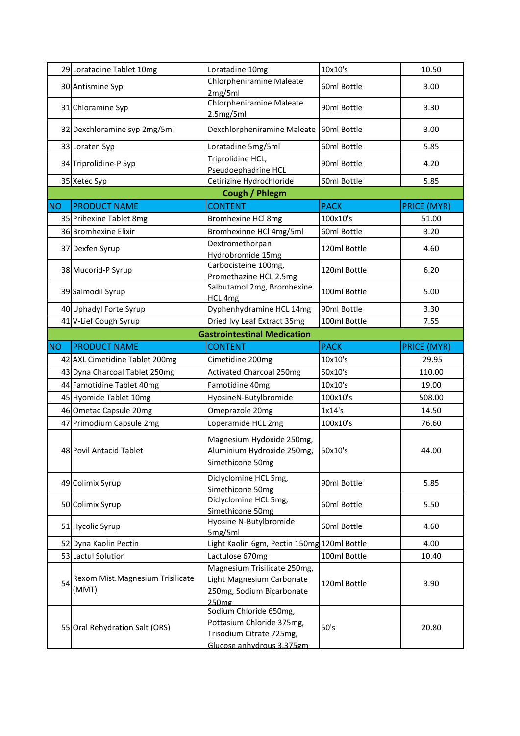|     | 29 Loratadine Tablet 10mg                 | Loratadine 10mg                                                                        | 10x10's      | 10.50              |
|-----|-------------------------------------------|----------------------------------------------------------------------------------------|--------------|--------------------|
|     | 30 Antismine Syp                          | Chlorpheniramine Maleate<br>2mg/5ml                                                    | 60ml Bottle  | 3.00               |
|     | 31 Chloramine Syp                         | Chlorpheniramine Maleate<br>2.5mg/5ml                                                  | 90ml Bottle  | 3.30               |
|     | 32 Dexchloramine syp 2mg/5ml              | Dexchlorpheniramine Maleate                                                            | 60ml Bottle  | 3.00               |
|     | 33 Loraten Syp                            | Loratadine 5mg/5ml                                                                     | 60ml Bottle  | 5.85               |
|     | 34 Triprolidine-P Syp                     | Triprolidine HCL,<br>Pseudoephadrine HCL                                               | 90ml Bottle  | 4.20               |
|     | 35 Xetec Syp                              | Cetirizine Hydrochloride                                                               | 60ml Bottle  | 5.85               |
|     |                                           | Cough / Phlegm                                                                         |              |                    |
| NO  | <b>PRODUCT NAME</b>                       | <b>CONTENT</b>                                                                         | <b>PACK</b>  | <b>PRICE (MYR)</b> |
|     | 35 Prihexine Tablet 8mg                   | <b>Bromhexine HCl 8mg</b>                                                              | 100x10's     | 51.00              |
|     | 36 Bromhexine Elixir                      | Bromhexinne HCl 4mg/5ml                                                                | 60ml Bottle  | 3.20               |
|     | 37 Dexfen Syrup                           | Dextromethorpan<br>Hydrobromide 15mg                                                   | 120ml Bottle | 4.60               |
|     | 38 Mucorid-P Syrup                        | Carbocisteine 100mg,<br>Promethazine HCL 2.5mg                                         | 120ml Bottle | 6.20               |
|     | 39 Salmodil Syrup                         | Salbutamol 2mg, Bromhexine<br>HCL 4mg                                                  | 100ml Bottle | 5.00               |
|     | 40 Uphadyl Forte Syrup                    | Dyphenhydramine HCL 14mg                                                               | 90ml Bottle  | 3.30               |
|     | 41 V-Lief Cough Syrup                     | Dried Ivy Leaf Extract 35mg                                                            | 100ml Bottle | 7.55               |
|     |                                           | <b>Gastrointestinal Medication</b>                                                     |              |                    |
| NO. | <b>PRODUCT NAME</b>                       | <b>CONTENT</b>                                                                         | <b>PACK</b>  | <b>PRICE (MYR)</b> |
|     | 42 AXL Cimetidine Tablet 200mg            | Cimetidine 200mg                                                                       | 10x10's      | 29.95              |
|     | 43 Dyna Charcoal Tablet 250mg             | <b>Activated Charcoal 250mg</b>                                                        | 50x10's      | 110.00             |
|     | 44 Famotidine Tablet 40mg                 | Famotidine 40mg                                                                        | 10x10's      | 19.00              |
|     | 45 Hyomide Tablet 10mg                    | HyosineN-Butylbromide                                                                  | 100x10's     | 508.00             |
|     | 46 Ometac Capsule 20mg                    | Omeprazole 20mg                                                                        | 1x14's       | 14.50              |
|     | 47 Primodium Capsule 2mg                  | Loperamide HCL 2mg                                                                     | 100x10's     | 76.60              |
|     | 48 Povil Antacid Tablet                   | Magnesium Hydoxide 250mg,<br>Aluminium Hydroxide 250mg,<br>Simethicone 50mg            | 50x10's      | 44.00              |
|     | 49 Colimix Syrup                          | Diclyclomine HCL 5mg,<br>Simethicone 50mg                                              | 90ml Bottle  | 5.85               |
|     | 50 Colimix Syrup                          | Diclyclomine HCL 5mg,<br>Simethicone 50mg                                              | 60ml Bottle  | 5.50               |
|     | 51 Hycolic Syrup                          | Hyosine N-Butylbromide<br>5mg/5ml                                                      | 60ml Bottle  | 4.60               |
|     | 52 Dyna Kaolin Pectin                     | Light Kaolin 6gm, Pectin 150mg 120ml Bottle                                            |              | 4.00               |
|     | 53 Lactul Solution                        | Lactulose 670mg                                                                        | 100ml Bottle | 10.40              |
| 54  | Rexom Mist.Magnesium Trisilicate<br>(MMT) | Magnesium Trisilicate 250mg,<br>Light Magnesium Carbonate<br>250mg, Sodium Bicarbonate | 120ml Bottle | 3.90               |
|     |                                           | 250 <sub>mg</sub>                                                                      |              |                    |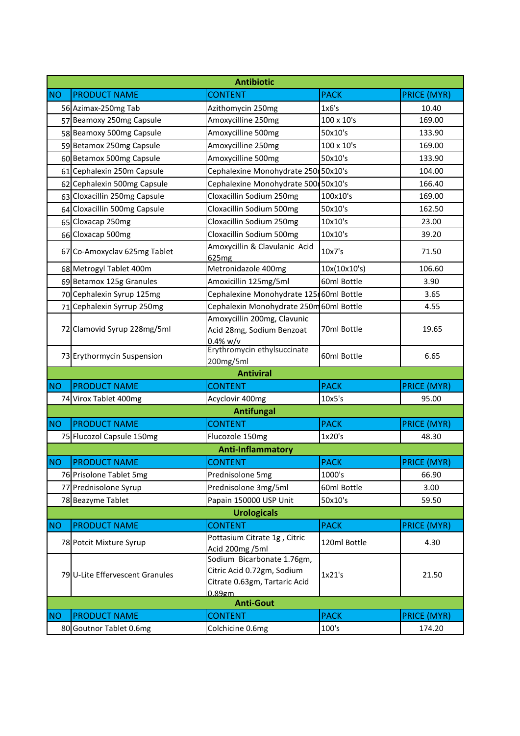| <b>Antibiotic</b> |                                 |                                                                                                     |              |                    |
|-------------------|---------------------------------|-----------------------------------------------------------------------------------------------------|--------------|--------------------|
| NO <sub>1</sub>   | <b>PRODUCT NAME</b>             | <b>CONTENT</b>                                                                                      | <b>PACK</b>  | <b>PRICE (MYR)</b> |
|                   | 56 Azimax-250mg Tab             | Azithomycin 250mg                                                                                   | 1x6's        | 10.40              |
|                   | 57 Beamoxy 250mg Capsule        | Amoxycilline 250mg                                                                                  | 100 x 10's   | 169.00             |
|                   | 58 Beamoxy 500mg Capsule        | Amoxycilline 500mg                                                                                  | 50x10's      | 133.90             |
|                   | 59 Betamox 250mg Capsule        | Amoxycilline 250mg                                                                                  | 100 x 10's   | 169.00             |
|                   | 60 Betamox 500mg Capsule        | Amoxycilline 500mg                                                                                  | 50x10's      | 133.90             |
|                   | 61 Cephalexin 250m Capsule      | Cephalexine Monohydrate 250 50x10's                                                                 |              | 104.00             |
|                   | 62 Cephalexin 500mg Capsule     | Cephalexine Monohydrate 500 50x10's                                                                 |              | 166.40             |
|                   | 63 Cloxacillin 250mg Capsule    | Cloxacillin Sodium 250mg                                                                            | 100x10's     | 169.00             |
|                   | 64 Cloxacillin 500mg Capsule    | Cloxacillin Sodium 500mg                                                                            | 50x10's      | 162.50             |
|                   | 65 Cloxacap 250mg               | Cloxacillin Sodium 250mg                                                                            | 10x10's      | 23.00              |
|                   | 66 Cloxacap 500mg               | Cloxacillin Sodium 500mg                                                                            | 10x10's      | 39.20              |
|                   | 67 Co-Amoxyclav 625mg Tablet    | Amoxycillin & Clavulanic Acid<br>625 <sub>mg</sub>                                                  | 10x7's       | 71.50              |
|                   | 68 Metrogyl Tablet 400m         | Metronidazole 400mg                                                                                 | 10x(10x10's) | 106.60             |
|                   | 69 Betamox 125g Granules        | Amoxicillin 125mg/5ml                                                                               | 60ml Bottle  | 3.90               |
|                   | 70 Cephalexin Syrup 125mg       | Cephalexine Monohydrate 125 60ml Bottle                                                             |              | 3.65               |
|                   | 71 Cephalexin Syrrup 250mg      | Cephalexin Monohydrate 250m 60ml Bottle                                                             |              | 4.55               |
|                   | 72 Clamovid Syrup 228mg/5ml     | Amoxycillin 200mg, Clavunic<br>Acid 28mg, Sodium Benzoat<br>$0.4\%$ w/v                             | 70ml Bottle  | 19.65              |
|                   | 73 Erythormycin Suspension      | Erythromycin ethylsuccinate<br>200mg/5ml                                                            | 60ml Bottle  | 6.65               |
|                   |                                 | <b>Antiviral</b>                                                                                    |              |                    |
| NO <sub>1</sub>   | <b>PRODUCT NAME</b>             | <b>CONTENT</b>                                                                                      | <b>PACK</b>  | <b>PRICE (MYR)</b> |
|                   | 74 Virox Tablet 400mg           | Acyclovir 400mg                                                                                     | 10x5's       | 95.00              |
|                   |                                 | <b>Antifungal</b>                                                                                   |              |                    |
| NO <sub>1</sub>   | <b>PRODUCT NAME</b>             | <b>CONTENT</b>                                                                                      | <b>PACK</b>  | <b>PRICE (MYR)</b> |
|                   | 75 Flucozol Capsule 150mg       | Flucozole 150mg                                                                                     | 1x20's       | 48.30              |
|                   |                                 | <b>Anti-Inflammatory</b>                                                                            |              |                    |
| NO                | <b>PRODUCT NAME</b>             | <b>CONTENT</b>                                                                                      | <b>PACK</b>  | <b>PRICE (MYR)</b> |
|                   | 76 Prisolone Tablet 5mg         | Prednisolone 5mg                                                                                    | 1000's       | 66.90              |
|                   | 77 Prednisolone Syrup           | Prednisolone 3mg/5ml                                                                                | 60ml Bottle  | 3.00               |
|                   | 78 Beazyme Tablet               | Papain 150000 USP Unit                                                                              | 50x10's      | 59.50              |
|                   |                                 | <b>Urologicals</b>                                                                                  |              |                    |
| <b>NO</b>         | <b>PRODUCT NAME</b>             | <b>CONTENT</b>                                                                                      | <b>PACK</b>  | <b>PRICE (MYR)</b> |
|                   | 78 Potcit Mixture Syrup         | Pottasium Citrate 1g, Citric<br>Acid 200mg /5ml                                                     | 120ml Bottle | 4.30               |
|                   | 79 U-Lite Effervescent Granules | Sodium Bicarbonate 1.76gm,<br>Citric Acid 0.72gm, Sodium<br>Citrate 0.63gm, Tartaric Acid<br>0.89gm | 1x21's       | 21.50              |
| <b>Anti-Gout</b>  |                                 |                                                                                                     |              |                    |
| NO                | <b>PRODUCT NAME</b>             | <b>CONTENT</b>                                                                                      | <b>PACK</b>  | <b>PRICE (MYR)</b> |
|                   | 80 Goutnor Tablet 0.6mg         | Colchicine 0.6mg                                                                                    | 100's        | 174.20             |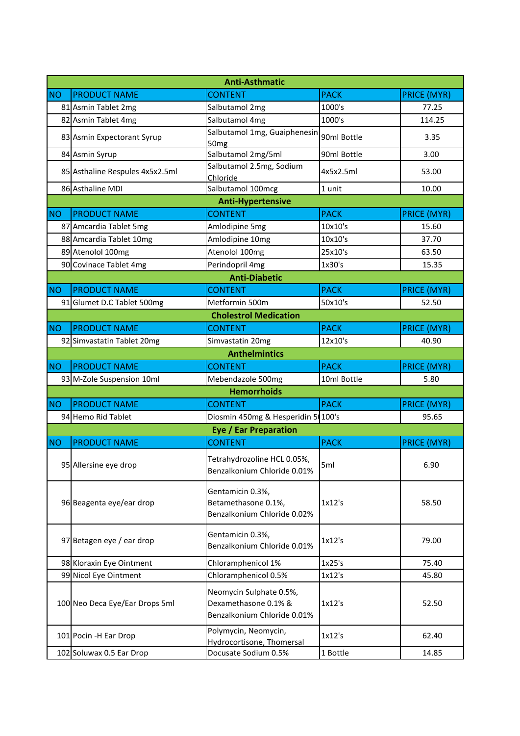| <b>Anti-Asthmatic</b> |                                 |                                                                                |             |                    |  |  |
|-----------------------|---------------------------------|--------------------------------------------------------------------------------|-------------|--------------------|--|--|
| NO <sub>1</sub>       | <b>PRODUCT NAME</b>             | <b>CONTENT</b>                                                                 | <b>PACK</b> | <b>PRICE (MYR)</b> |  |  |
|                       | 81 Asmin Tablet 2mg             | Salbutamol 2mg                                                                 | 1000's      | 77.25              |  |  |
|                       | 82 Asmin Tablet 4mg             | Salbutamol 4mg                                                                 | 1000's      | 114.25             |  |  |
|                       | 83 Asmin Expectorant Syrup      | Salbutamol 1mg, Guaiphenesin<br>50 <sub>mg</sub>                               | 90ml Bottle | 3.35               |  |  |
|                       | 84 Asmin Syrup                  | Salbutamol 2mg/5ml                                                             | 90ml Bottle | 3.00               |  |  |
|                       | 85 Asthaline Respules 4x5x2.5ml | Salbutamol 2.5mg, Sodium<br>Chloride                                           | 4x5x2.5ml   | 53.00              |  |  |
|                       | 86 Asthaline MDI                | Salbutamol 100mcg                                                              | 1 unit      | 10.00              |  |  |
|                       |                                 | <b>Anti-Hypertensive</b>                                                       |             |                    |  |  |
| NO <sub>1</sub>       | <b>PRODUCT NAME</b>             | <b>CONTENT</b>                                                                 | <b>PACK</b> | <b>PRICE (MYR)</b> |  |  |
|                       | 87 Amcardia Tablet 5mg          | Amlodipine 5mg                                                                 | 10x10's     | 15.60              |  |  |
|                       | 88 Amcardia Tablet 10mg         | Amlodipine 10mg                                                                | 10x10's     | 37.70              |  |  |
|                       | 89 Atenolol 100mg               | Atenolol 100mg                                                                 | 25x10's     | 63.50              |  |  |
|                       | 90 Covinace Tablet 4mg          | Perindopril 4mg                                                                | 1x30's      | 15.35              |  |  |
|                       |                                 | <b>Anti-Diabetic</b>                                                           |             |                    |  |  |
| NO <sub>1</sub>       | <b>PRODUCT NAME</b>             | <b>CONTENT</b>                                                                 | <b>PACK</b> | <b>PRICE (MYR)</b> |  |  |
|                       | 91 Glumet D.C Tablet 500mg      | Metformin 500m                                                                 | 50x10's     | 52.50              |  |  |
|                       | <b>Cholestrol Medication</b>    |                                                                                |             |                    |  |  |
| NO                    | <b>PRODUCT NAME</b>             | <b>CONTENT</b>                                                                 | <b>PACK</b> | <b>PRICE (MYR)</b> |  |  |
|                       | 92 Simvastatin Tablet 20mg      | Simvastatin 20mg                                                               | 12x10's     | 40.90              |  |  |
|                       |                                 | <b>Anthelmintics</b>                                                           |             |                    |  |  |
| NO <sub>1</sub>       | <b>PRODUCT NAME</b>             | <b>CONTENT</b>                                                                 | <b>PACK</b> | <b>PRICE (MYR)</b> |  |  |
|                       | 93 M-Zole Suspension 10ml       | Mebendazole 500mg                                                              | 10ml Bottle | 5.80               |  |  |
|                       |                                 | <b>Hemorrhoids</b>                                                             |             |                    |  |  |
| <b>NO</b>             | <b>PRODUCT NAME</b>             | <b>CONTENT</b>                                                                 | <b>PACK</b> | <b>PRICE (MYR)</b> |  |  |
|                       | 94 Hemo Rid Tablet              | Diosmin 450mg & Hesperidin 5 100's                                             |             | 95.65              |  |  |
|                       |                                 | <b>Eye / Ear Preparation</b>                                                   |             |                    |  |  |
| NO                    | <b>PRODUCT NAME</b>             | <b>CONTENT</b>                                                                 | <b>PACK</b> | <b>PRICE (MYR)</b> |  |  |
|                       | 95 Allersine eye drop           | Tetrahydrozoline HCL 0.05%,<br>Benzalkonium Chloride 0.01%                     | 5ml         | 6.90               |  |  |
|                       | 96 Beagenta eye/ear drop        | Gentamicin 0.3%,<br>Betamethasone 0.1%,<br>Benzalkonium Chloride 0.02%         | 1x12's      | 58.50              |  |  |
|                       | 97 Betagen eye / ear drop       | Gentamicin 0.3%,<br>Benzalkonium Chloride 0.01%                                | 1x12's      | 79.00              |  |  |
|                       | 98 Kloraxin Eye Ointment        | Chloramphenicol 1%                                                             | 1x25's      | 75.40              |  |  |
|                       | 99 Nicol Eye Ointment           | Chloramphenicol 0.5%                                                           | 1x12's      | 45.80              |  |  |
|                       | 100 Neo Deca Eye/Ear Drops 5ml  | Neomycin Sulphate 0.5%,<br>Dexamethasone 0.1% &<br>Benzalkonium Chloride 0.01% | 1x12's      | 52.50              |  |  |
|                       | 101 Pocin - H Ear Drop          | Polymycin, Neomycin,<br>Hydrocortisone, Thomersal                              | 1x12's      | 62.40              |  |  |
|                       | 102 Soluwax 0.5 Ear Drop        | Docusate Sodium 0.5%                                                           | 1 Bottle    | 14.85              |  |  |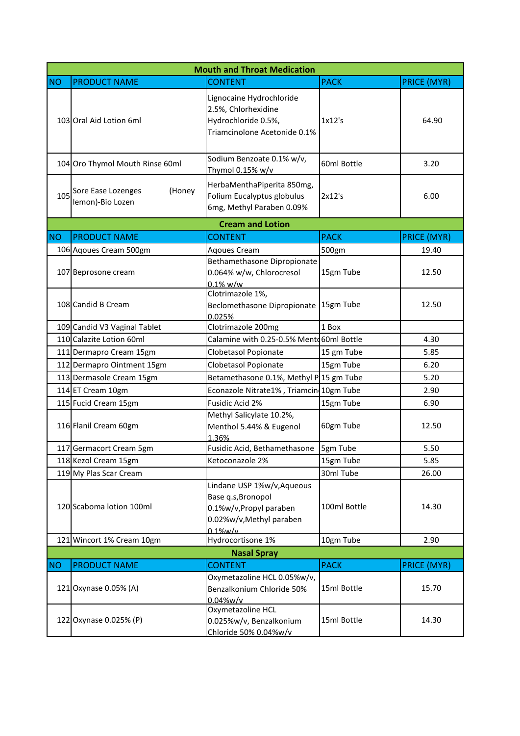|           |                                                  | <b>Mouth and Throat Medication</b>                                                                                    |              |                    |
|-----------|--------------------------------------------------|-----------------------------------------------------------------------------------------------------------------------|--------------|--------------------|
| <b>NO</b> | <b>PRODUCT NAME</b>                              | <b>CONTENT</b>                                                                                                        | <b>PACK</b>  | <b>PRICE (MYR)</b> |
|           | 103 Oral Aid Lotion 6ml                          | Lignocaine Hydrochloride<br>2.5%, Chlorhexidine<br>Hydrochloride 0.5%,<br>Triamcinolone Acetonide 0.1%                | 1x12's       | 64.90              |
|           | 104 Oro Thymol Mouth Rinse 60ml                  | Sodium Benzoate 0.1% w/v,<br>Thymol 0.15% w/v                                                                         | 60ml Bottle  | 3.20               |
| 105       | Sore Ease Lozenges<br>(Honey<br>lemon)-Bio Lozen | HerbaMenthaPiperita 850mg,<br>Folium Eucalyptus globulus<br>6mg, Methyl Paraben 0.09%                                 | 2x12's       | 6.00               |
|           |                                                  | <b>Cream and Lotion</b>                                                                                               |              |                    |
| <b>NO</b> | <b>PRODUCT NAME</b>                              | <b>CONTENT</b>                                                                                                        | <b>PACK</b>  | <b>PRICE (MYR)</b> |
|           | 106 Agoues Cream 500gm                           | <b>Agoues Cream</b>                                                                                                   | 500gm        | 19.40              |
|           | 107 Beprosone cream                              | Bethamethasone Dipropionate<br>0.064% w/w, Chlorocresol<br>$0.1\%$ w/w                                                | 15gm Tube    | 12.50              |
|           | 108 Candid B Cream                               | Clotrimazole 1%,<br>Beclomethasone Dipropionate<br>0.025%                                                             | 15gm Tube    | 12.50              |
|           | 109 Candid V3 Vaginal Tablet                     | Clotrimazole 200mg                                                                                                    | 1 Box        |                    |
|           | 110 Calazite Lotion 60ml                         | Calamine with 0.25-0.5% Mento 60ml Bottle                                                                             |              | 4.30               |
|           | 111 Dermapro Cream 15gm                          | Clobetasol Popionate                                                                                                  | 15 gm Tube   | 5.85               |
|           | 112 Dermapro Ointment 15gm                       | Clobetasol Popionate                                                                                                  | 15gm Tube    | 6.20               |
|           | 113 Dermasole Cream 15gm                         | Betamethasone 0.1%, Methyl P 15 gm Tube                                                                               |              | 5.20               |
|           | 114 ET Cream 10gm                                | Econazole Nitrate1%, Triamcin 10gm Tube                                                                               |              | 2.90               |
|           | 115 Fucid Cream 15gm                             | Fusidic Acid 2%                                                                                                       | 15gm Tube    | 6.90               |
|           | 116 Flanil Cream 60gm                            | Methyl Salicylate 10.2%,<br>Menthol 5.44% & Eugenol<br>1.36%                                                          | 60gm Tube    | 12.50              |
|           | 117 Germacort Cream 5gm                          | Fusidic Acid, Bethamethasone                                                                                          | 5gm Tube     | 5.50               |
|           | 118 Kezol Cream 15gm                             | Ketoconazole 2%                                                                                                       | 15gm Tube    | 5.85               |
|           | 119 My Plas Scar Cream                           |                                                                                                                       | 30ml Tube    | 26.00              |
|           | 120 Scaboma lotion 100ml                         | Lindane USP 1%w/v, Aqueous<br>Base q.s, Bronopol<br>0.1%w/v, Propyl paraben<br>0.02%w/v, Methyl paraben<br>$0.1$ %w/v | 100ml Bottle | 14.30              |
|           | 121 Wincort 1% Cream 10gm                        | Hydrocortisone 1%                                                                                                     | 10gm Tube    | 2.90               |
|           |                                                  | <b>Nasal Spray</b>                                                                                                    |              |                    |
| <b>NO</b> | <b>PRODUCT NAME</b>                              | <b>CONTENT</b>                                                                                                        | <b>PACK</b>  | PRICE (MYR)        |
|           | 121 Oxynase 0.05% (A)                            | Oxymetazoline HCL 0.05%w/v,<br>Benzalkonium Chloride 50%<br>0.04%w/v                                                  | 15ml Bottle  | 15.70              |
|           | 122 Oxynase 0.025% (P)                           | Oxymetazoline HCL<br>0.025%w/v, Benzalkonium<br>Chloride 50% 0.04%w/v                                                 | 15ml Bottle  | 14.30              |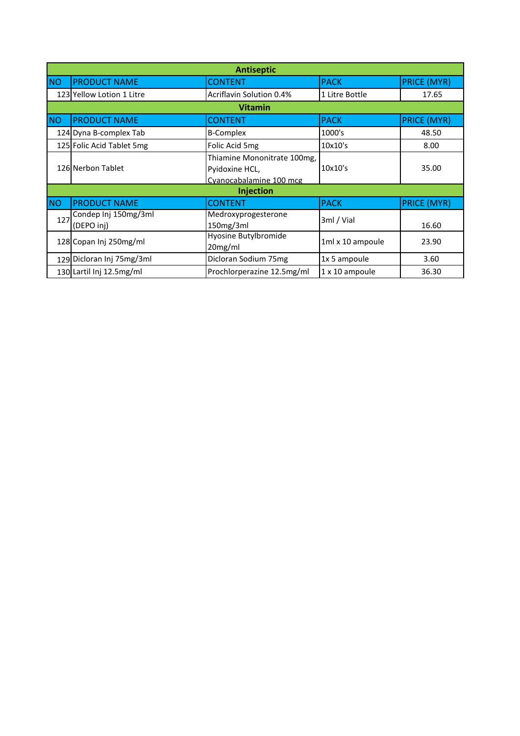| <b>Antiseptic</b> |                                    |                                                                          |                  |                    |
|-------------------|------------------------------------|--------------------------------------------------------------------------|------------------|--------------------|
| <b>NO</b>         | <b>PRODUCT NAME</b>                | <b>CONTENT</b>                                                           | <b>PACK</b>      | <b>PRICE (MYR)</b> |
|                   | 123 Yellow Lotion 1 Litre          | Acriflavin Solution 0.4%                                                 | 1 Litre Bottle   | 17.65              |
|                   |                                    | <b>Vitamin</b>                                                           |                  |                    |
| <b>NO</b>         | <b>PRODUCT NAME</b>                | <b>CONTENT</b>                                                           | <b>PACK</b>      | <b>PRICE (MYR)</b> |
|                   | 124 Dyna B-complex Tab             | <b>B-Complex</b>                                                         | 1000's           | 48.50              |
|                   | 125 Folic Acid Tablet 5mg          | Folic Acid 5mg                                                           | 10x10's          | 8.00               |
|                   | 126 Nerbon Tablet                  | Thiamine Mononitrate 100mg,<br>Pyidoxine HCL,<br>Cvanocabalamine 100 mcg | 10x10's          | 35.00              |
|                   |                                    | Injection                                                                |                  |                    |
| <b>NO</b>         | <b>PRODUCT NAME</b>                | <b>CONTENT</b>                                                           | <b>PACK</b>      | <b>PRICE (MYR)</b> |
| 127               | Condep Inj 150mg/3ml<br>(DEPO inj) | Medroxyprogesterone<br>150mg/3ml                                         | 3ml / Vial       | 16.60              |
|                   | 128 Copan Inj 250mg/ml             | Hyosine Butylbromide<br>20mg/ml                                          | 1ml x 10 ampoule | 23.90              |
|                   | 129 Dicloran Inj 75mg/3ml          | Dicloran Sodium 75mg                                                     | 1x 5 ampoule     | 3.60               |
|                   | 130 Lartil Inj 12.5mg/ml           | Prochlorperazine 12.5mg/ml                                               | 1 x 10 ampoule   | 36.30              |